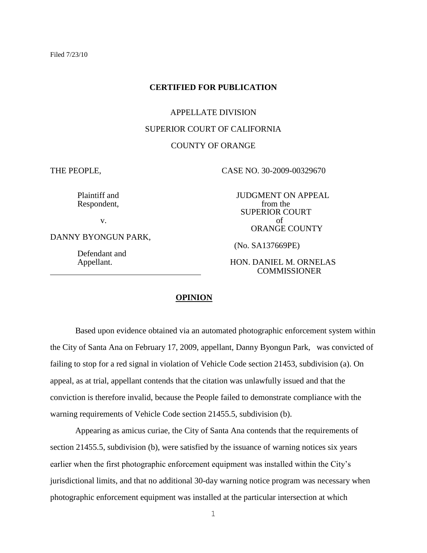#### **CERTIFIED FOR PUBLICATION**

#### APPELLATE DIVISION

#### SUPERIOR COURT OF CALIFORNIA

## COUNTY OF ORANGE

THE PEOPLE, CASE NO. 30-2009-00329670

Respondent,

DANNY BYONGUN PARK,

Defendant and

Plaintiff and JUDGMENT ON APPEAL Respondent. The state of the set of the set of the set of the set of the set of the set of the set of the set of the set of the set of the set of the set of the set of the set of the set of SUPERIOR COURT v. of ORANGE COUNTY

(No. SA137669PE)

#### Appellant. HON. DANIEL M. ORNELAS **COMMISSIONER**

### **OPINION**

Based upon evidence obtained via an automated photographic enforcement system within the City of Santa Ana on February 17, 2009, appellant, Danny Byongun Park, was convicted of failing to stop for a red signal in violation of Vehicle Code section 21453, subdivision (a). On appeal, as at trial, appellant contends that the citation was unlawfully issued and that the conviction is therefore invalid, because the People failed to demonstrate compliance with the warning requirements of Vehicle Code section 21455.5, subdivision (b).

Appearing as amicus curiae, the City of Santa Ana contends that the requirements of section 21455.5, subdivision (b), were satisfied by the issuance of warning notices six years earlier when the first photographic enforcement equipment was installed within the City's jurisdictional limits, and that no additional 30-day warning notice program was necessary when photographic enforcement equipment was installed at the particular intersection at which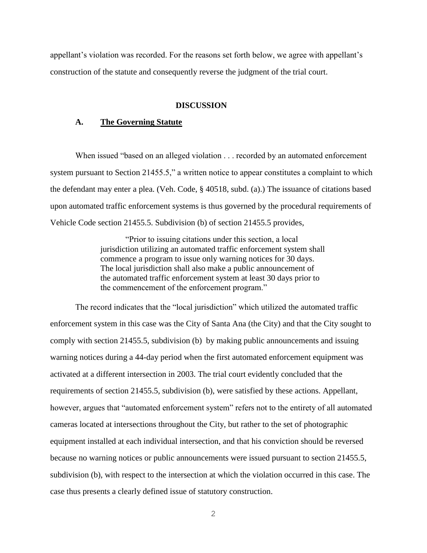appellant's violation was recorded. For the reasons set forth below, we agree with appellant's construction of the statute and consequently reverse the judgment of the trial court.

#### **DISCUSSION**

## **A. The Governing Statute**

When issued "based on an alleged violation . . . recorded by an automated enforcement system pursuant to Section 21455.5," a written notice to appear constitutes a complaint to which the defendant may enter a plea. (Veh. Code, § 40518, subd. (a).) The issuance of citations based upon automated traffic enforcement systems is thus governed by the procedural requirements of Vehicle Code section 21455.5. Subdivision (b) of section 21455.5 provides,

> "Prior to issuing citations under this section, a local jurisdiction utilizing an automated traffic enforcement system shall commence a program to issue only warning notices for 30 days. The local jurisdiction shall also make a public announcement of the automated traffic enforcement system at least 30 days prior to the commencement of the enforcement program."

The record indicates that the "local jurisdiction" which utilized the automated traffic enforcement system in this case was the City of Santa Ana (the City) and that the City sought to comply with section 21455.5, subdivision (b) by making public announcements and issuing warning notices during a 44-day period when the first automated enforcement equipment was activated at a different intersection in 2003. The trial court evidently concluded that the requirements of section 21455.5, subdivision (b), were satisfied by these actions. Appellant, however, argues that "automated enforcement system" refers not to the entirety of all automated cameras located at intersections throughout the City, but rather to the set of photographic equipment installed at each individual intersection, and that his conviction should be reversed because no warning notices or public announcements were issued pursuant to section 21455.5, subdivision (b), with respect to the intersection at which the violation occurred in this case. The case thus presents a clearly defined issue of statutory construction.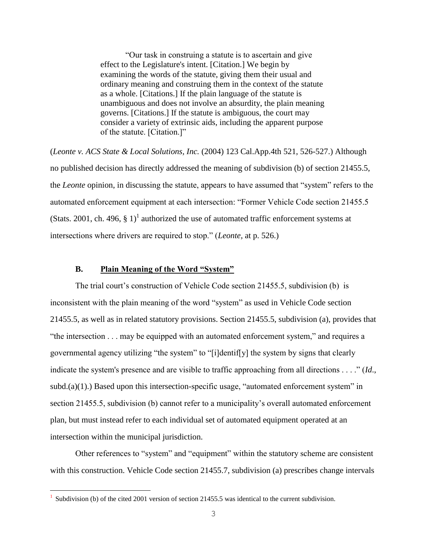"Our task in construing a statute is to ascertain and give effect to the Legislature's intent. [Citation.] We begin by examining the words of the statute, giving them their usual and ordinary meaning and construing them in the context of the statute as a whole. [Citations.] If the plain language of the statute is unambiguous and does not involve an absurdity, the plain meaning governs. [Citations.] If the statute is ambiguous, the court may consider a variety of extrinsic aids, including the apparent purpose of the statute. [Citation.]"

(*Leonte v. ACS State & Local Solutions, Inc.* (2004) 123 Cal.App.4th 521, 526-527.) Although no published decision has directly addressed the meaning of subdivision (b) of section 21455.5, the *Leonte* opinion, in discussing the statute, appears to have assumed that "system" refers to the automated enforcement equipment at each intersection: "Former Vehicle Code section 21455.5 (Stats. 2001, ch. 496, § 1)<sup>1</sup> authorized the use of automated traffic enforcement systems at intersections where drivers are required to stop." (*Leonte,* at p. 526.)

# **B. Plain Meaning of the Word "System"**

The trial court's construction of Vehicle Code section 21455.5, subdivision (b) is inconsistent with the plain meaning of the word "system" as used in Vehicle Code section 21455.5, as well as in related statutory provisions. Section 21455.5, subdivision (a), provides that "the intersection . . . may be equipped with an automated enforcement system," and requires a governmental agency utilizing "the system" to "[i]dentif[y] the system by signs that clearly indicate the system's presence and are visible to traffic approaching from all directions . . . ." (*Id*., subd.(a)(1).) Based upon this intersection-specific usage, "automated enforcement system" in section 21455.5, subdivision (b) cannot refer to a municipality's overall automated enforcement plan, but must instead refer to each individual set of automated equipment operated at an intersection within the municipal jurisdiction.

Other references to "system" and "equipment" within the statutory scheme are consistent with this construction. Vehicle Code section 21455.7, subdivision (a) prescribes change intervals

÷.

<sup>1</sup> Subdivision (b) of the cited 2001 version of section 21455.5 was identical to the current subdivision.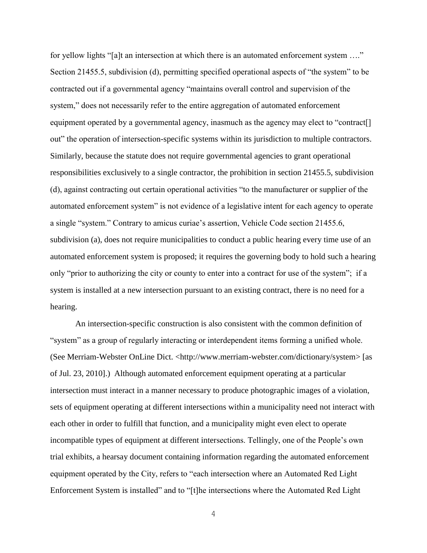for yellow lights "[a]t an intersection at which there is an automated enforcement system ...." Section 21455.5, subdivision (d), permitting specified operational aspects of "the system" to be contracted out if a governmental agency "maintains overall control and supervision of the system," does not necessarily refer to the entire aggregation of automated enforcement equipment operated by a governmental agency, inasmuch as the agency may elect to "contract<sup>[]</sup> out" the operation of intersection-specific systems within its jurisdiction to multiple contractors. Similarly, because the statute does not require governmental agencies to grant operational responsibilities exclusively to a single contractor, the prohibition in section 21455.5, subdivision (d), against contracting out certain operational activities "to the manufacturer or supplier of the automated enforcement system" is not evidence of a legislative intent for each agency to operate a single "system." Contrary to amicus curiae's assertion, Vehicle Code section 21455.6, subdivision (a), does not require municipalities to conduct a public hearing every time use of an automated enforcement system is proposed; it requires the governing body to hold such a hearing only "prior to authorizing the city or county to enter into a contract for use of the system"; if a system is installed at a new intersection pursuant to an existing contract, there is no need for a hearing.

An intersection-specific construction is also consistent with the common definition of "system" as a group of regularly interacting or interdependent items forming a unified whole. (See Merriam-Webster OnLine Dict. <http://www.merriam-webster.com/dictionary/system> [as of Jul. 23, 2010].) Although automated enforcement equipment operating at a particular intersection must interact in a manner necessary to produce photographic images of a violation, sets of equipment operating at different intersections within a municipality need not interact with each other in order to fulfill that function, and a municipality might even elect to operate incompatible types of equipment at different intersections. Tellingly, one of the People's own trial exhibits, a hearsay document containing information regarding the automated enforcement equipment operated by the City, refers to "each intersection where an Automated Red Light Enforcement System is installed" and to "[t]he intersections where the Automated Red Light

4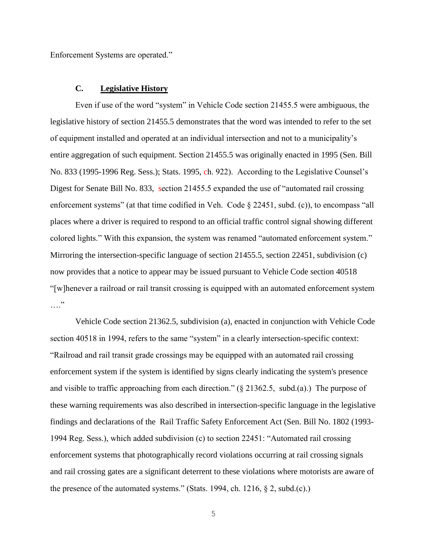Enforcement Systems are operated."

## **C. Legislative History**

Even if use of the word "system" in Vehicle Code section 21455.5 were ambiguous, the legislative history of section 21455.5 demonstrates that the word was intended to refer to the set of equipment installed and operated at an individual intersection and not to a municipality's entire aggregation of such equipment. Section 21455.5 was originally enacted in 1995 (Sen. Bill No. 833 (1995-1996 Reg. Sess.); Stats. 1995, ch. 922). According to the Legislative Counsel's Digest for Senate Bill No. 833, section 21455.5 expanded the use of "automated rail crossing enforcement systems" (at that time codified in Veh. Code § 22451, subd. (c)), to encompass "all places where a driver is required to respond to an official traffic control signal showing different colored lights." With this expansion, the system was renamed "automated enforcement system." Mirroring the intersection-specific language of section 21455.5, section 22451, subdivision (c) now provides that a notice to appear may be issued pursuant to Vehicle Code section 40518 "[w]henever a railroad or rail transit crossing is equipped with an automated enforcement system …"

Vehicle Code section 21362.5, subdivision (a), enacted in conjunction with Vehicle Code section 40518 in 1994, refers to the same "system" in a clearly intersection-specific context: "Railroad and rail transit grade crossings may be equipped with an automated rail crossing enforcement system if the system is identified by signs clearly indicating the system's presence and visible to traffic approaching from each direction." (§ 21362.5, subd.(a).) The purpose of these warning requirements was also described in intersection-specific language in the legislative findings and declarations of the Rail Traffic Safety Enforcement Act (Sen. Bill No. 1802 (1993- 1994 Reg. Sess.), which added subdivision (c) to section 22451: "Automated rail crossing enforcement systems that photographically record violations occurring at rail crossing signals and rail crossing gates are a significant deterrent to these violations where motorists are aware of the presence of the automated systems." (Stats. 1994, ch. 1216,  $\S$  2, subd.(c).)

5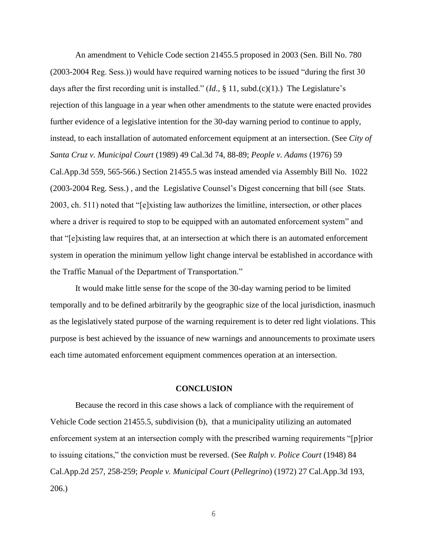An amendment to Vehicle Code section 21455.5 proposed in 2003 (Sen. Bill No. 780 (2003-2004 Reg. Sess.)) would have required warning notices to be issued "during the first 30 days after the first recording unit is installed." (*Id*., § 11, subd.(c)(1).) The Legislature's rejection of this language in a year when other amendments to the statute were enacted provides further evidence of a legislative intention for the 30-day warning period to continue to apply, instead, to each installation of automated enforcement equipment at an intersection. (See *City of Santa Cruz v. Municipal Court* (1989) 49 Cal.3d 74, 88-89; *People v. Adams* (1976) 59 Cal.App.3d 559, 565-566.) Section 21455.5 was instead amended via Assembly Bill No. 1022 (2003-2004 Reg. Sess.) , and the Legislative Counsel's Digest concerning that bill (see Stats. 2003, ch. 511) noted that "[e]xisting law authorizes the limitline, intersection, or other places where a driver is required to stop to be equipped with an automated enforcement system" and that "[e]xisting law requires that, at an intersection at which there is an automated enforcement system in operation the minimum yellow light change interval be established in accordance with the Traffic Manual of the Department of Transportation."

It would make little sense for the scope of the 30-day warning period to be limited temporally and to be defined arbitrarily by the geographic size of the local jurisdiction, inasmuch as the legislatively stated purpose of the warning requirement is to deter red light violations. This purpose is best achieved by the issuance of new warnings and announcements to proximate users each time automated enforcement equipment commences operation at an intersection.

#### **CONCLUSION**

Because the record in this case shows a lack of compliance with the requirement of Vehicle Code section 21455.5, subdivision (b), that a municipality utilizing an automated enforcement system at an intersection comply with the prescribed warning requirements "[p]rior to issuing citations," the conviction must be reversed. (See *Ralph v. Police Court* (1948) 84 Cal.App.2d 257, 258-259; *People v. Municipal Court* (*Pellegrino*) (1972) 27 Cal.App.3d 193, 206.)

6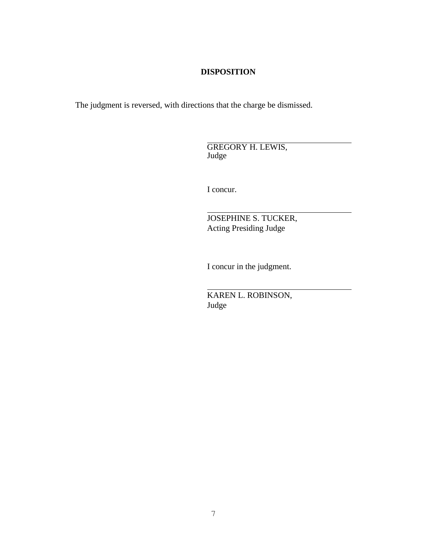# **DISPOSITION**

The judgment is reversed, with directions that the charge be dismissed.

 GREGORY H. LEWIS, Judge

I concur.

 JOSEPHINE S. TUCKER, Acting Presiding Judge

I concur in the judgment.

 KAREN L. ROBINSON, Judge